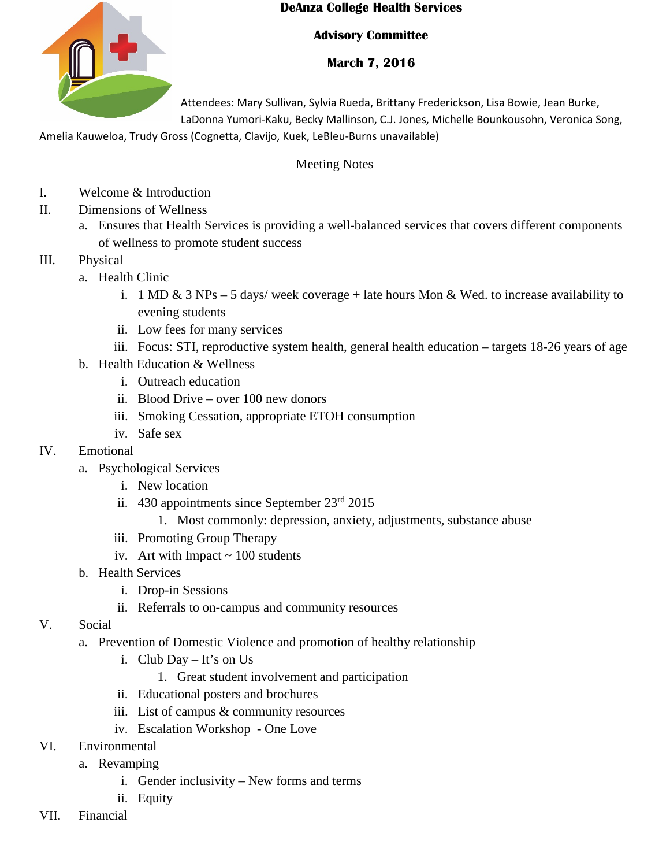

## **DeAnza College Health Services**

## **Advisory Committee**

## **March 7, 2016**

Attendees: Mary Sullivan, Sylvia Rueda, Brittany Frederickson, Lisa Bowie, Jean Burke, LaDonna Yumori-Kaku, Becky Mallinson, C.J. Jones, Michelle Bounkousohn, Veronica Song,

Amelia Kauweloa, Trudy Gross (Cognetta, Clavijo, Kuek, LeBleu-Burns unavailable)

## Meeting Notes

- I. Welcome & Introduction
- II. Dimensions of Wellness
	- a. Ensures that Health Services is providing a well-balanced services that covers different components of wellness to promote student success
- III. Physical
	- a. Health Clinic
		- i. 1 MD & 3 NPs 5 days/ week coverage + late hours Mon & Wed. to increase availability to evening students
		- ii. Low fees for many services
		- iii. Focus: STI, reproductive system health, general health education targets 18-26 years of age
	- b. Health Education & Wellness
		- i. Outreach education
		- ii. Blood Drive over 100 new donors
		- iii. Smoking Cessation, appropriate ETOH consumption
		- iv. Safe sex
- IV. Emotional
	- a. Psychological Services
		- i. New location
		- ii. 430 appointments since September 23rd 2015
			- 1. Most commonly: depression, anxiety, adjustments, substance abuse
		- iii. Promoting Group Therapy
		- iv. Art with Impact  $\sim 100$  students
	- b. Health Services
		- i. Drop-in Sessions
		- ii. Referrals to on-campus and community resources
- V. Social
	- a. Prevention of Domestic Violence and promotion of healthy relationship
		- i. Club Day It's on Us
			- 1. Great student involvement and participation
		- ii. Educational posters and brochures
		- iii. List of campus & community resources
		- iv. Escalation Workshop One Love
- VI. Environmental
	- a. Revamping
		- i. Gender inclusivity New forms and terms
		- ii. Equity
- VII. Financial